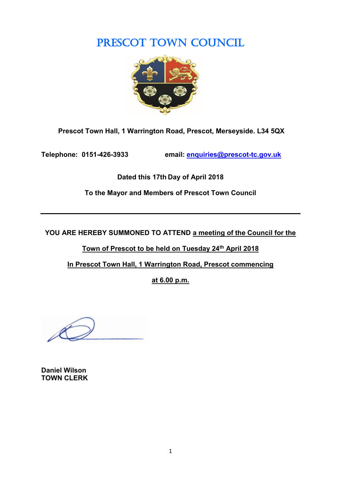# PRESCOT TOWN COUNCIL



**Prescot Town Hall, 1 Warrington Road, Prescot, Merseyside. L34 5QX**

**Telephone: 0151-426-3933 email: [enquiries@prescot-tc.gov.uk](mailto:enquiries@prescot-tc.gov.uk)**

**Dated this 17th Day of April 2018**

**To the Mayor and Members of Prescot Town Council**

**YOU ARE HEREBY SUMMONED TO ATTEND a meeting of the Council for the** 

**Town of Prescot to be held on Tuesday 24 th April 2018**

**In Prescot Town Hall, 1 Warrington Road, Prescot commencing**

**at 6.00 p.m.**

**Daniel Wilson TOWN CLERK**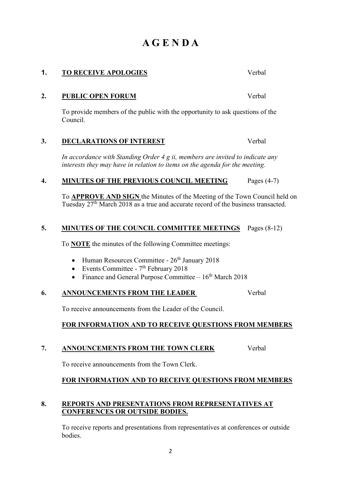# **FOR INFORMATION AND TO RECEIVE QUESTIONS FROM MEMBERS**

## **8. REPORTS AND PRESENTATIONS FROM REPRESENTATIVES AT CONFERENCES OR OUTSIDE BODIES.**

To receive reports and presentations from representatives at conferences or outside bodies.

2

*In accordance with Standing Order 4 g ii, members are invited to indicate any interests they may have in relation to items on the agenda for the meeting.*

To provide members of the public with the opportunity to ask questions of the

# **4. MINUTES OF THE PREVIOUS COUNCIL MEETING** Pages (4-7)

**2. PUBLIC OPEN FORUM** Verbal

To **APPROVE AND SIGN** the Minutes of the Meeting of the Town Council held on Tuesday 27th March 2018 as a true and accurate record of the business transacted.

# **5. MINUTES OF THE COUNCIL COMMITTEE MEETINGS** Pages (8-12)

To **NOTE** the minutes of the following Committee meetings:

- Human Resources Committee  $26<sup>th</sup>$  January 2018
- Events Committee  $7<sup>th</sup>$  February 2018
- Finance and General Purpose Committee  $-16<sup>th</sup>$  March 2018

# **6. ANNOUNCEMENTS FROM THE LEADER** Verbal

To receive announcements from the Leader of the Council.

# **FOR INFORMATION AND TO RECEIVE QUESTIONS FROM MEMBERS**

# **7. ANNOUNCEMENTS FROM THE TOWN CLERK** Verbal

To receive announcements from the Town Clerk.

# Council.

# **A G E N D A**

**1. TO RECEIVE APOLOGIES** Verbal

**3. DECLARATIONS OF INTEREST** Verbal